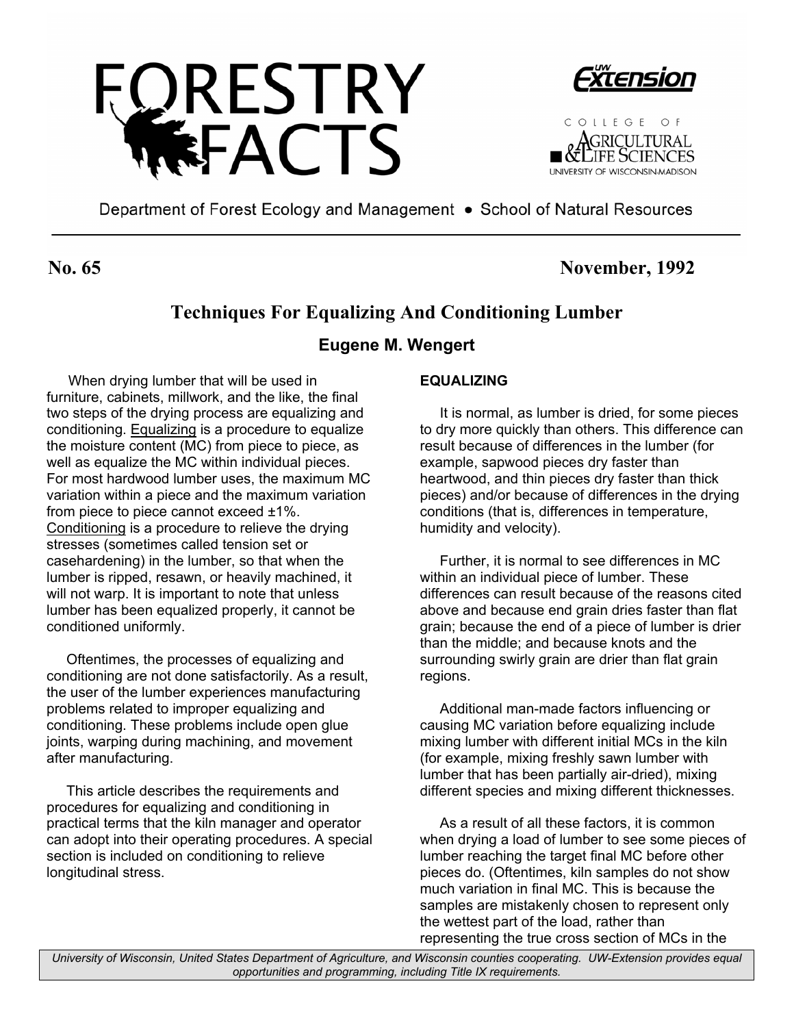





Department of Forest Ecology and Management • School of Natural Resources

## **No. 65 November, 1992**

# **Techniques For Equalizing And Conditioning Lumber**

## **Eugene M. Wengert**

 When drying lumber that will be used in furniture, cabinets, millwork, and the like, the final two steps of the drying process are equalizing and conditioning. Equalizing is a procedure to equalize the moisture content (MC) from piece to piece, as well as equalize the MC within individual pieces. For most hardwood lumber uses, the maximum MC variation within a piece and the maximum variation from piece to piece cannot exceed ±1%. Conditioning is a procedure to relieve the drying stresses (sometimes called tension set or casehardening) in the lumber, so that when the lumber is ripped, resawn, or heavily machined, it will not warp. It is important to note that unless lumber has been equalized properly, it cannot be conditioned uniformly.

 Oftentimes, the processes of equalizing and conditioning are not done satisfactorily. As a result, the user of the lumber experiences manufacturing problems related to improper equalizing and conditioning. These problems include open glue joints, warping during machining, and movement after manufacturing.

 This article describes the requirements and procedures for equalizing and conditioning in practical terms that the kiln manager and operator can adopt into their operating procedures. A special section is included on conditioning to relieve longitudinal stress.

#### **EQUALIZING**

 It is normal, as lumber is dried, for some pieces to dry more quickly than others. This difference can result because of differences in the lumber (for example, sapwood pieces dry faster than heartwood, and thin pieces dry faster than thick pieces) and/or because of differences in the drying conditions (that is, differences in temperature, humidity and velocity).

 Further, it is normal to see differences in MC within an individual piece of lumber. These differences can result because of the reasons cited above and because end grain dries faster than flat grain; because the end of a piece of lumber is drier than the middle; and because knots and the surrounding swirly grain are drier than flat grain regions.

 Additional man-made factors influencing or causing MC variation before equalizing include mixing lumber with different initial MCs in the kiln (for example, mixing freshly sawn lumber with lumber that has been partially air-dried), mixing different species and mixing different thicknesses.

 As a result of all these factors, it is common when drying a load of lumber to see some pieces of lumber reaching the target final MC before other pieces do. (Oftentimes, kiln samples do not show much variation in final MC. This is because the samples are mistakenly chosen to represent only the wettest part of the load, rather than representing the true cross section of MCs in the

*University of Wisconsin, United States Department of Agriculture, and Wisconsin counties cooperating. UW-Extension provides equal opportunities and programming, including Title IX requirements.*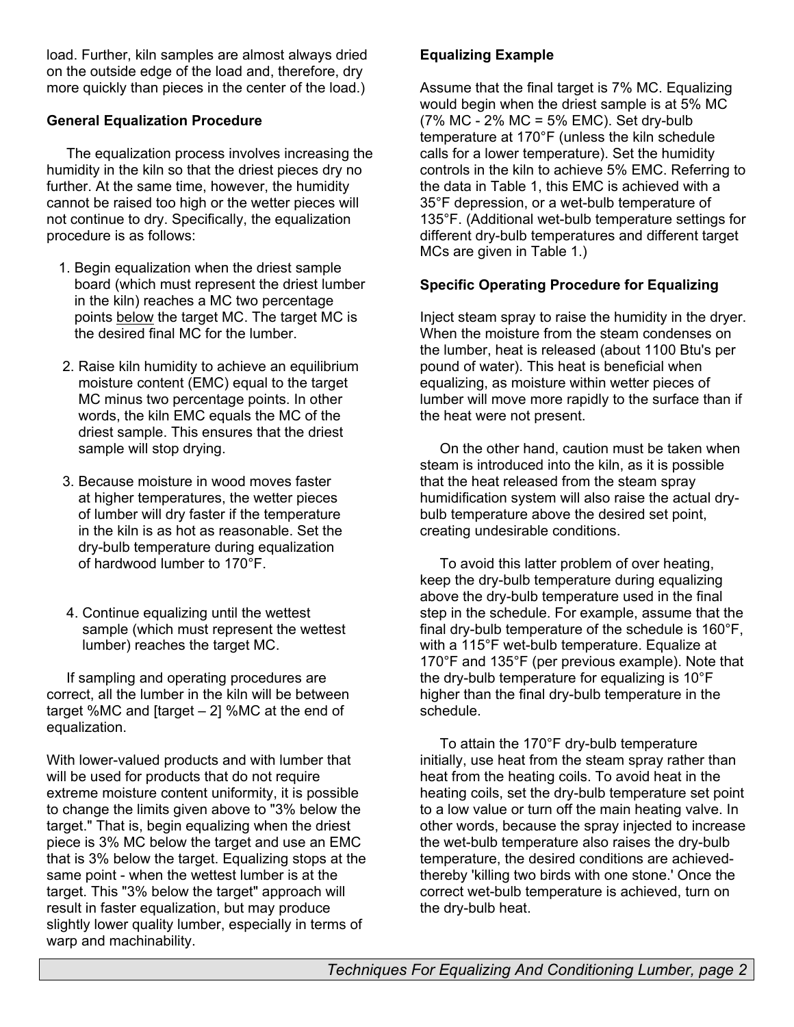load. Further, kiln samples are almost always dried on the outside edge of the load and, therefore, dry more quickly than pieces in the center of the load.)

### **General Equalization Procedure**

 The equalization process involves increasing the humidity in the kiln so that the driest pieces dry no further. At the same time, however, the humidity cannot be raised too high or the wetter pieces will not continue to dry. Specifically, the equalization procedure is as follows:

- 1. Begin equalization when the driest sample board (which must represent the driest lumber in the kiln) reaches a MC two percentage points below the target MC. The target MC is the desired final MC for the lumber.
- 2. Raise kiln humidity to achieve an equilibrium moisture content (EMC) equal to the target MC minus two percentage points. In other words, the kiln EMC equals the MC of the driest sample. This ensures that the driest sample will stop drying.
- 3. Because moisture in wood moves faster at higher temperatures, the wetter pieces of lumber will dry faster if the temperature in the kiln is as hot as reasonable. Set the dry-bulb temperature during equalization of hardwood lumber to 170°F.
- 4. Continue equalizing until the wettest sample (which must represent the wettest lumber) reaches the target MC.

 If sampling and operating procedures are correct, all the lumber in the kiln will be between target %MC and [target – 2] %MC at the end of equalization.

With lower-valued products and with lumber that will be used for products that do not require extreme moisture content uniformity, it is possible to change the limits given above to "3% below the target." That is, begin equalizing when the driest piece is 3% MC below the target and use an EMC that is 3% below the target. Equalizing stops at the same point - when the wettest lumber is at the target. This "3% below the target" approach will result in faster equalization, but may produce slightly lower quality lumber, especially in terms of warp and machinability.

## **Equalizing Example**

Assume that the final target is 7% MC. Equalizing would begin when the driest sample is at 5% MC (7% MC - 2% MC = 5% EMC). Set dry-bulb temperature at 170°F (unless the kiln schedule calls for a lower temperature). Set the humidity controls in the kiln to achieve 5% EMC. Referring to the data in Table 1, this EMC is achieved with a 35°F depression, or a wet-bulb temperature of 135°F. (Additional wet-bulb temperature settings for different dry-bulb temperatures and different target MCs are given in Table 1.)

#### **Specific Operating Procedure for Equalizing**

Inject steam spray to raise the humidity in the dryer. When the moisture from the steam condenses on the lumber, heat is released (about 1100 Btu's per pound of water). This heat is beneficial when equalizing, as moisture within wetter pieces of lumber will move more rapidly to the surface than if the heat were not present.

 On the other hand, caution must be taken when steam is introduced into the kiln, as it is possible that the heat released from the steam spray humidification system will also raise the actual drybulb temperature above the desired set point, creating undesirable conditions.

 To avoid this latter problem of over heating, keep the dry-bulb temperature during equalizing above the dry-bulb temperature used in the final step in the schedule. For example, assume that the final dry-bulb temperature of the schedule is 160°F, with a 115°F wet-bulb temperature. Equalize at 170°F and 135°F (per previous example). Note that the dry-bulb temperature for equalizing is 10°F higher than the final dry-bulb temperature in the schedule.

 To attain the 170°F dry-bulb temperature initially, use heat from the steam spray rather than heat from the heating coils. To avoid heat in the heating coils, set the dry-bulb temperature set point to a low value or turn off the main heating valve. In other words, because the spray injected to increase the wet-bulb temperature also raises the dry-bulb temperature, the desired conditions are achievedthereby 'killing two birds with one stone.' Once the correct wet-bulb temperature is achieved, turn on the dry-bulb heat.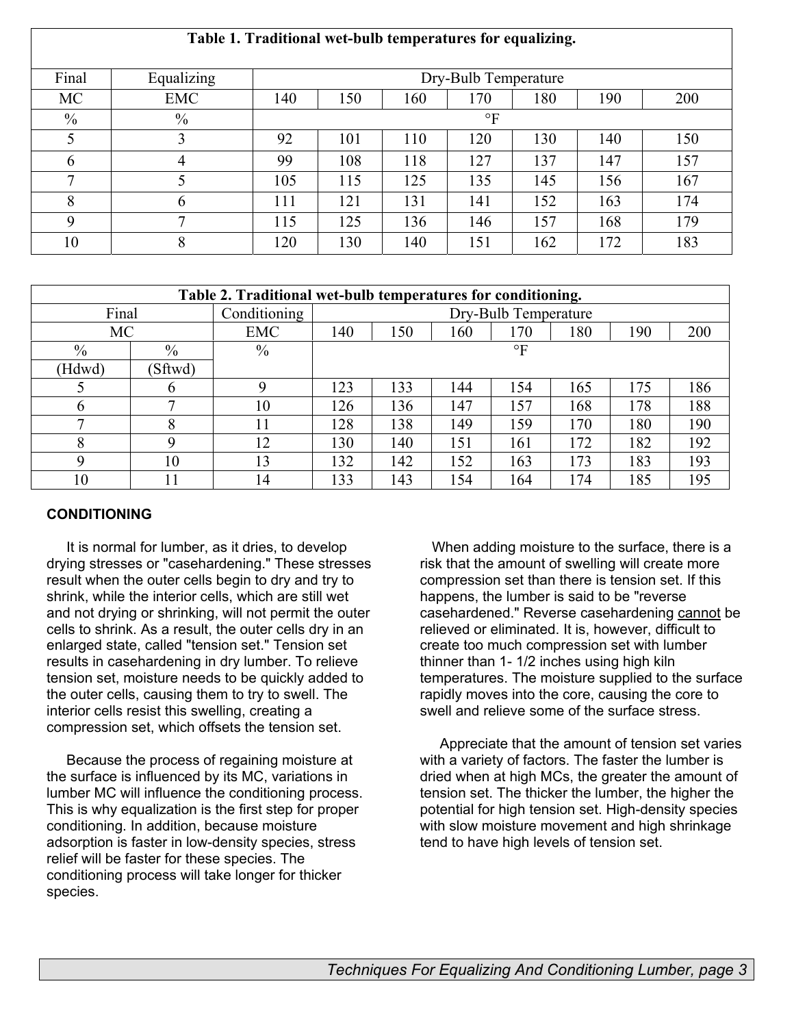## **Table 1. Traditional wet-bulb temperatures for equalizing.**

| Final        | Equalizing   | Dry-Bulb Temperature |     |     |     |     |     |     |  |  |
|--------------|--------------|----------------------|-----|-----|-----|-----|-----|-----|--|--|
| <b>MC</b>    | <b>EMC</b>   | 140                  | 150 | 160 | 170 | 180 | 190 | 200 |  |  |
| $\%$         | $\%$         | $\circ$ F            |     |     |     |     |     |     |  |  |
| 5            | 3            | 92                   | 101 | 110 | 120 | 130 | 140 | 150 |  |  |
| 6            | 4            | 99                   | 108 | 118 | 127 | 137 | 147 | 157 |  |  |
| $\mathbf{z}$ |              | 105                  | 115 | 125 | 135 | 145 | 156 | 167 |  |  |
| 8            | 6            | 111                  | 121 | 131 | 141 | 152 | 163 | 174 |  |  |
| 9            | $\mathbf{r}$ | 115                  | 125 | 136 | 146 | 157 | 168 | 179 |  |  |
| 10           | 8            | 120                  | 130 | 140 | 151 | 162 | 172 | 183 |  |  |

| Table 2. Traditional wet-bulb temperatures for conditioning. |         |               |                      |     |     |     |     |     |     |  |  |
|--------------------------------------------------------------|---------|---------------|----------------------|-----|-----|-----|-----|-----|-----|--|--|
| Final                                                        |         | Conditioning  | Dry-Bulb Temperature |     |     |     |     |     |     |  |  |
| MC                                                           |         | <b>EMC</b>    | 140                  | 150 | 160 | 170 | 180 | 190 | 200 |  |  |
| $\%$                                                         | $\%$    | $\frac{0}{0}$ | $\circ$ F            |     |     |     |     |     |     |  |  |
| (Hdwd)                                                       | (Sftwd) |               |                      |     |     |     |     |     |     |  |  |
|                                                              | O       | $\mathbf Q$   | 123                  | 133 | 144 | 154 | 165 | 175 | 186 |  |  |
| <sub>t</sub>                                                 | ⇁       | 10            | 26                   | 136 | 147 | 157 | 168 | 178 | 188 |  |  |
| $\mathbf \tau$                                               | О<br>◠  | 11            | 28                   | 138 | 149 | 159 | 170 | 180 | 190 |  |  |
| 8                                                            | Q       | 12            | 130                  | 140 | 151 | 161 | 172 | 182 | 192 |  |  |
| Q                                                            | 10      | 13            | 32                   | 142 | 152 | 163 | 173 | 183 | 193 |  |  |
| 10                                                           |         | 14            | 33                   | 143 | 154 | 164 | 174 | 185 | 195 |  |  |

#### **CONDITIONING**

 It is normal for lumber, as it dries, to develop drying stresses or "casehardening." These stresses result when the outer cells begin to dry and try to shrink, while the interior cells, which are still wet and not drying or shrinking, will not permit the outer cells to shrink. As a result, the outer cells dry in an enlarged state, called "tension set." Tension set results in casehardening in dry lumber. To relieve tension set, moisture needs to be quickly added to the outer cells, causing them to try to swell. The interior cells resist this swelling, creating a compression set, which offsets the tension set.

 Because the process of regaining moisture at the surface is influenced by its MC, variations in lumber MC will influence the conditioning process. This is why equalization is the first step for proper conditioning. In addition, because moisture adsorption is faster in low-density species, stress relief will be faster for these species. The conditioning process will take longer for thicker species.

 When adding moisture to the surface, there is a risk that the amount of swelling will create more compression set than there is tension set. If this happens, the lumber is said to be "reverse casehardened." Reverse casehardening cannot be relieved or eliminated. It is, however, difficult to create too much compression set with lumber thinner than 1- 1/2 inches using high kiln temperatures. The moisture supplied to the surface rapidly moves into the core, causing the core to swell and relieve some of the surface stress.

 Appreciate that the amount of tension set varies with a variety of factors. The faster the lumber is dried when at high MCs, the greater the amount of tension set. The thicker the lumber, the higher the potential for high tension set. High-density species with slow moisture movement and high shrinkage tend to have high levels of tension set.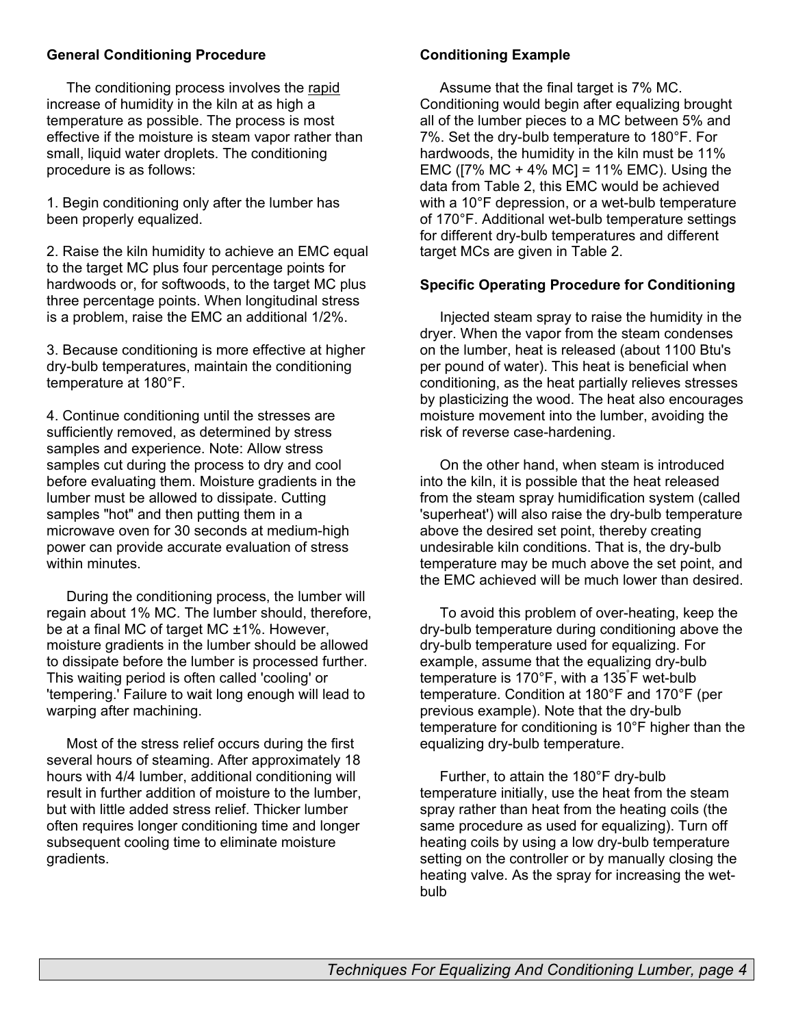#### **General Conditioning Procedure**

 The conditioning process involves the rapid increase of humidity in the kiln at as high a temperature as possible. The process is most effective if the moisture is steam vapor rather than small, liquid water droplets. The conditioning procedure is as follows:

1. Begin conditioning only after the lumber has been properly equalized.

2. Raise the kiln humidity to achieve an EMC equal to the target MC plus four percentage points for hardwoods or, for softwoods, to the target MC plus three percentage points. When longitudinal stress is a problem, raise the EMC an additional 1/2%.

3. Because conditioning is more effective at higher dry-bulb temperatures, maintain the conditioning temperature at 180°F.

4. Continue conditioning until the stresses are sufficiently removed, as determined by stress samples and experience. Note: Allow stress samples cut during the process to dry and cool before evaluating them. Moisture gradients in the lumber must be allowed to dissipate. Cutting samples "hot" and then putting them in a microwave oven for 30 seconds at medium-high power can provide accurate evaluation of stress within minutes.

 During the conditioning process, the lumber will regain about 1% MC. The lumber should, therefore, be at a final MC of target MC ±1%. However, moisture gradients in the lumber should be allowed to dissipate before the lumber is processed further. This waiting period is often called 'cooling' or 'tempering.' Failure to wait long enough will lead to warping after machining.

 Most of the stress relief occurs during the first several hours of steaming. After approximately 18 hours with 4/4 lumber, additional conditioning will result in further addition of moisture to the lumber, but with little added stress relief. Thicker lumber often requires longer conditioning time and longer subsequent cooling time to eliminate moisture gradients.

#### **Conditioning Example**

 Assume that the final target is 7% MC. Conditioning would begin after equalizing brought all of the lumber pieces to a MC between 5% and 7%. Set the dry-bulb temperature to 180°F. For hardwoods, the humidity in the kiln must be 11% EMC ( $[7\% \text{ MC} + 4\% \text{ MC}] = 11\% \text{ EMC}$ ). Using the data from Table 2, this EMC would be achieved with a 10°F depression, or a wet-bulb temperature of 170°F. Additional wet-bulb temperature settings for different dry-bulb temperatures and different target MCs are given in Table 2.

#### **Specific Operating Procedure for Conditioning**

 Injected steam spray to raise the humidity in the dryer. When the vapor from the steam condenses on the lumber, heat is released (about 1100 Btu's per pound of water). This heat is beneficial when conditioning, as the heat partially relieves stresses by plasticizing the wood. The heat also encourages moisture movement into the lumber, avoiding the risk of reverse case-hardening.

 On the other hand, when steam is introduced into the kiln, it is possible that the heat released from the steam spray humidification system (called 'superheat') will also raise the dry-bulb temperature above the desired set point, thereby creating undesirable kiln conditions. That is, the dry-bulb temperature may be much above the set point, and the EMC achieved will be much lower than desired.

 To avoid this problem of over-heating, keep the dry-bulb temperature during conditioning above the dry-bulb temperature used for equalizing. For example, assume that the equalizing dry-bulb temperature is 170°F, with a 135° F wet-bulb temperature. Condition at 180°F and 170°F (per previous example). Note that the dry-bulb temperature for conditioning is 10°F higher than the equalizing dry-bulb temperature.

 Further, to attain the 180°F dry-bulb temperature initially, use the heat from the steam spray rather than heat from the heating coils (the same procedure as used for equalizing). Turn off heating coils by using a low dry-bulb temperature setting on the controller or by manually closing the heating valve. As the spray for increasing the wetbulb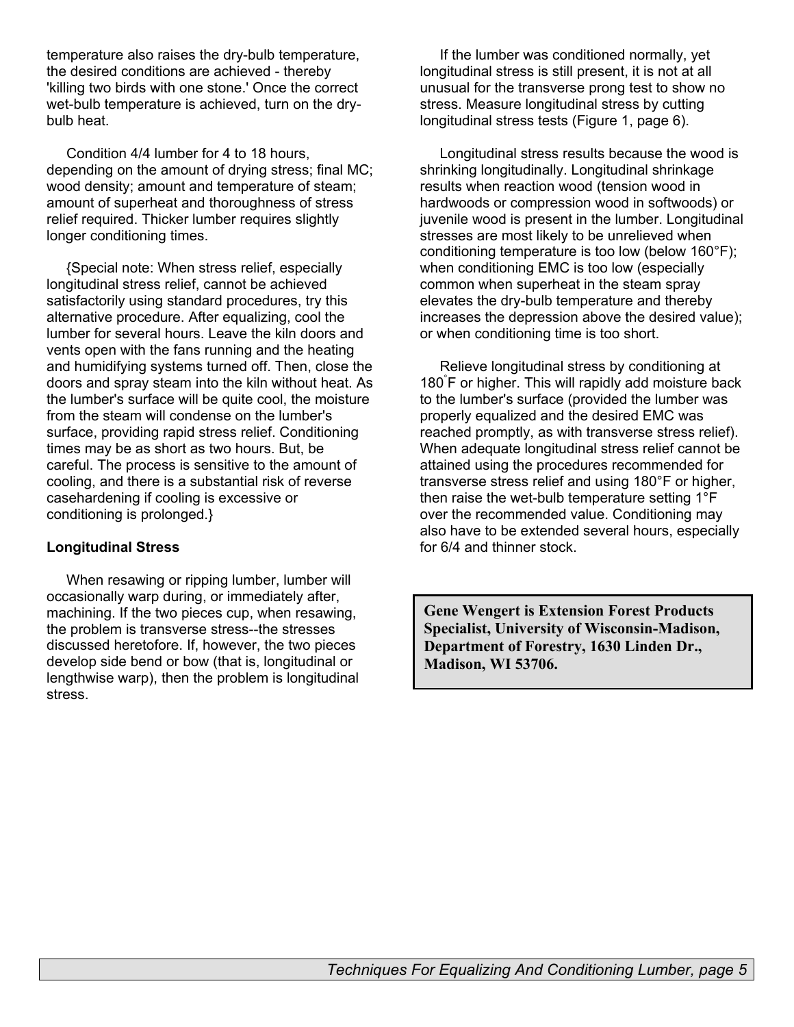temperature also raises the dry-bulb temperature, the desired conditions are achieved - thereby 'killing two birds with one stone.' Once the correct wet-bulb temperature is achieved, turn on the drybulb heat.

 Condition 4/4 lumber for 4 to 18 hours, depending on the amount of drying stress; final MC; wood density; amount and temperature of steam; amount of superheat and thoroughness of stress relief required. Thicker lumber requires slightly longer conditioning times.

 {Special note: When stress relief, especially longitudinal stress relief, cannot be achieved satisfactorily using standard procedures, try this alternative procedure. After equalizing, cool the lumber for several hours. Leave the kiln doors and vents open with the fans running and the heating and humidifying systems turned off. Then, close the doors and spray steam into the kiln without heat. As the lumber's surface will be quite cool, the moisture from the steam will condense on the lumber's surface, providing rapid stress relief. Conditioning times may be as short as two hours. But, be careful. The process is sensitive to the amount of cooling, and there is a substantial risk of reverse casehardening if cooling is excessive or conditioning is prolonged.}

#### **Longitudinal Stress**

 When resawing or ripping lumber, lumber will occasionally warp during, or immediately after, machining. If the two pieces cup, when resawing, the problem is transverse stress--the stresses discussed heretofore. If, however, the two pieces develop side bend or bow (that is, longitudinal or lengthwise warp), then the problem is longitudinal stress.

 If the lumber was conditioned normally, yet longitudinal stress is still present, it is not at all unusual for the transverse prong test to show no stress. Measure longitudinal stress by cutting longitudinal stress tests (Figure 1, page 6).

 Longitudinal stress results because the wood is shrinking longitudinally. Longitudinal shrinkage results when reaction wood (tension wood in hardwoods or compression wood in softwoods) or juvenile wood is present in the lumber. Longitudinal stresses are most likely to be unrelieved when conditioning temperature is too low (below 160°F); when conditioning EMC is too low (especially common when superheat in the steam spray elevates the dry-bulb temperature and thereby increases the depression above the desired value); or when conditioning time is too short.

 Relieve longitudinal stress by conditioning at 180° F or higher. This will rapidly add moisture back to the lumber's surface (provided the lumber was properly equalized and the desired EMC was reached promptly, as with transverse stress relief). When adequate longitudinal stress relief cannot be attained using the procedures recommended for transverse stress relief and using 180°F or higher, then raise the wet-bulb temperature setting 1°F over the recommended value. Conditioning may also have to be extended several hours, especially for 6/4 and thinner stock.

**Gene Wengert is Extension Forest Products Specialist, University of Wisconsin-Madison, Department of Forestry, 1630 Linden Dr., Madison, WI 53706.**